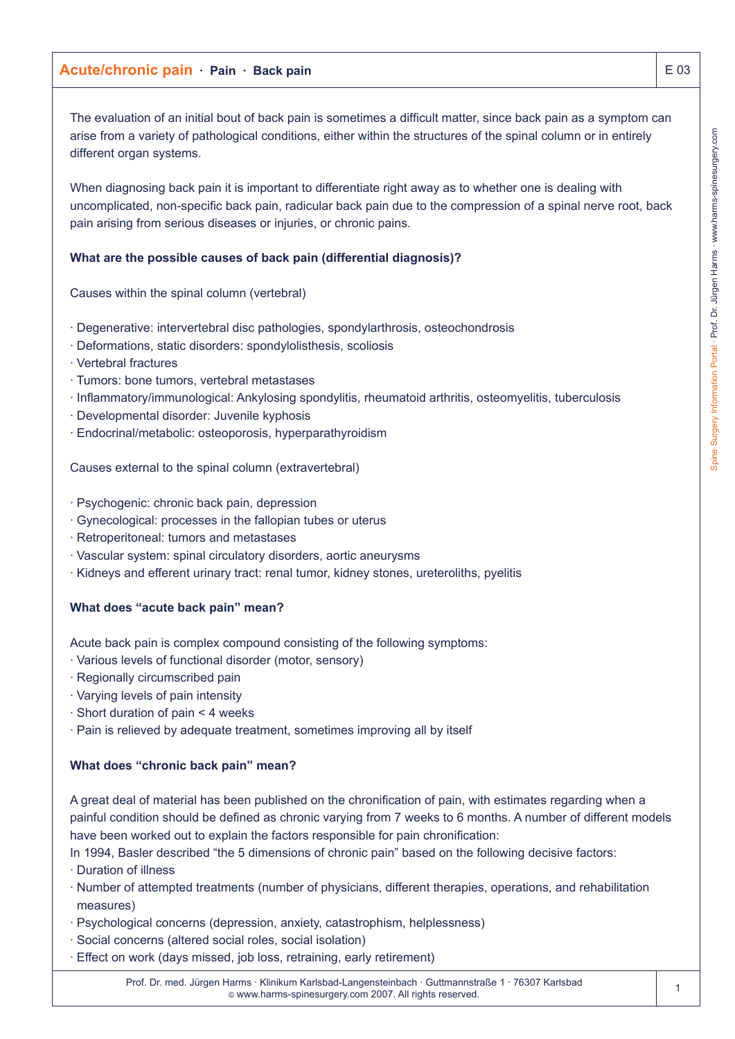The evaluation of an initial bout of back pain is sometimes a difficult matter, since back pain as a symptom can arise from a variety of pathological conditions, either within the structures of the spinal column or in entirely different organ systems.

When diagnosing back pain it is important to differentiate right away as to whether one is dealing with uncomplicated, non-specific back pain, radicular back pain due to the compression of a spinal nerve root, back pain arising from serious diseases or injuries, or chronic pains.

## **What are the possible causes of back pain (differential diagnosis)?**

Causes within the spinal column (vertebral)

- · Degenerative: intervertebral disc pathologies, spondylarthrosis, osteochondrosis
- · Deformations, static disorders: spondylolisthesis, scoliosis
- · Vertebral fractures
- · Tumors: bone tumors, vertebral metastases
- · Inflammatory/immunological: Ankylosing spondylitis, rheumatoid arthritis, osteomyelitis, tuberculosis
- · Developmental disorder: Juvenile kyphosis
- · Endocrinal/metabolic: osteoporosis, hyperparathyroidism

Causes external to the spinal column (extravertebral)

- · Psychogenic: chronic back pain, depression
- · Gynecological: processes in the fallopian tubes or uterus
- · Retroperitoneal: tumors and metastases
- · Vascular system: spinal circulatory disorders, aortic aneurysms
- · Kidneys and efferent urinary tract: renal tumor, kidney stones, ureteroliths, pyelitis

## **What does "acute back pain" mean?**

Acute back pain is complex compound consisting of the following symptoms:

- · Various levels of functional disorder (motor, sensory)
- · Regionally circumscribed pain
- · Varying levels of pain intensity
- · Short duration of pain < 4 weeks
- · Pain is relieved by adequate treatment, sometimes improving all by itself

## **What does "chronic back pain" mean?**

A great deal of material has been published on the chronification of pain, with estimates regarding when a painful condition should be defined as chronic varying from 7 weeks to 6 months. A number of different models have been worked out to explain the factors responsible for pain chronification:

In 1994, Basler described "the 5 dimensions of chronic pain" based on the following decisive factors:

- · Duration of illness
- · Number of attempted treatments (number of physicians, different therapies, operations, and rehabilitation measures)
- · Psychological concerns (depression, anxiety, catastrophism, helplessness)
- · Social concerns (altered social roles, social isolation)
- · Effect on work (days missed, job loss, retraining, early retirement)